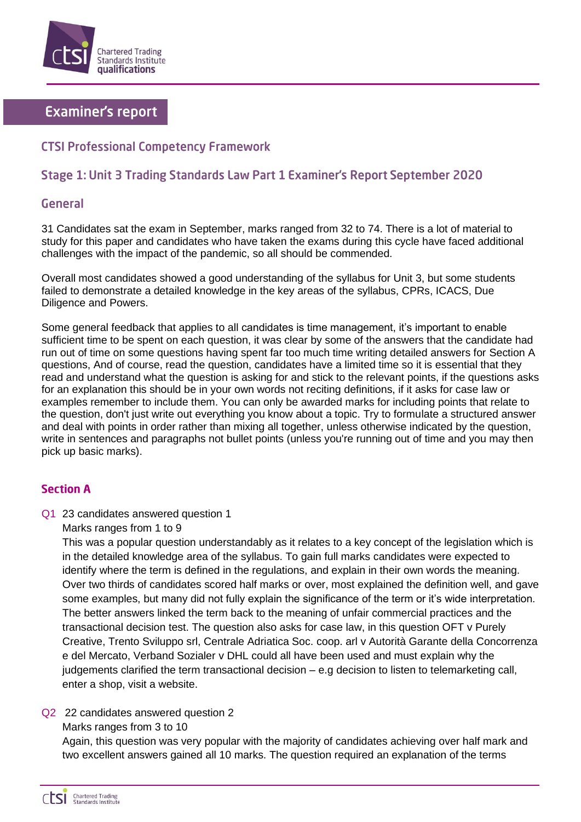

# **Examiner's report**

## **CTSI Professional Competency Framework**

## Stage 1: Unit 3 Trading Standards Law Part 1 Examiner's Report September 2020

## General

31 Candidates sat the exam in September, marks ranged from 32 to 74. There is a lot of material to study for this paper and candidates who have taken the exams during this cycle have faced additional challenges with the impact of the pandemic, so all should be commended.

Overall most candidates showed a good understanding of the syllabus for Unit 3, but some students failed to demonstrate a detailed knowledge in the key areas of the syllabus, CPRs, ICACS, Due Diligence and Powers.

Some general feedback that applies to all candidates is time management, it's important to enable sufficient time to be spent on each question, it was clear by some of the answers that the candidate had run out of time on some questions having spent far too much time writing detailed answers for Section A questions, And of course, read the question, candidates have a limited time so it is essential that they read and understand what the question is asking for and stick to the relevant points, if the questions asks for an explanation this should be in your own words not reciting definitions, if it asks for case law or examples remember to include them. You can only be awarded marks for including points that relate to the question, don't just write out everything you know about a topic. Try to formulate a structured answer and deal with points in order rather than mixing all together, unless otherwise indicated by the question, write in sentences and paragraphs not bullet points (unless you're running out of time and you may then pick up basic marks).

### **Section A**

Q1 23 candidates answered question 1

Marks ranges from 1 to 9

This was a popular question understandably as it relates to a key concept of the legislation which is in the detailed knowledge area of the syllabus. To gain full marks candidates were expected to identify where the term is defined in the regulations, and explain in their own words the meaning. Over two thirds of candidates scored half marks or over, most explained the definition well, and gave some examples, but many did not fully explain the significance of the term or it's wide interpretation. The better answers linked the term back to the meaning of unfair commercial practices and the transactional decision test. The question also asks for case law, in this question OFT v Purely Creative, Trento Sviluppo srl, Centrale Adriatica Soc. coop. arl v Autorità Garante della Concorrenza e del Mercato, Verband Sozialer v DHL could all have been used and must explain why the judgements clarified the term transactional decision – e.g decision to listen to telemarketing call, enter a shop, visit a website.

### Q2 22 candidates answered question 2

Marks ranges from 3 to 10

Again, this question was very popular with the majority of candidates achieving over half mark and two excellent answers gained all 10 marks. The question required an explanation of the terms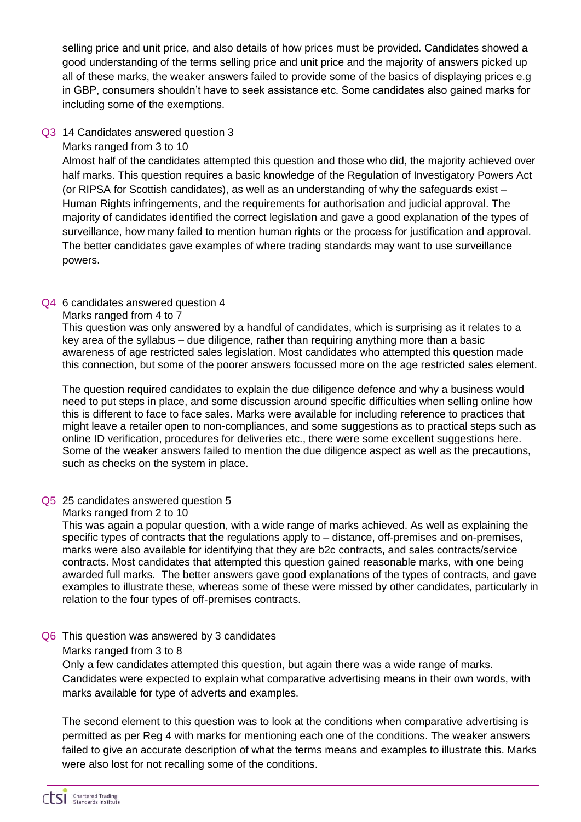selling price and unit price, and also details of how prices must be provided. Candidates showed a good understanding of the terms selling price and unit price and the majority of answers picked up all of these marks, the weaker answers failed to provide some of the basics of displaying prices e.g in GBP, consumers shouldn't have to seek assistance etc. Some candidates also gained marks for including some of the exemptions.

#### Q3 14 Candidates answered question 3

Marks ranged from 3 to 10

Almost half of the candidates attempted this question and those who did, the majority achieved over half marks. This question requires a basic knowledge of the Regulation of Investigatory Powers Act (or RIPSA for Scottish candidates), as well as an understanding of why the safeguards exist – Human Rights infringements, and the requirements for authorisation and judicial approval. The majority of candidates identified the correct legislation and gave a good explanation of the types of surveillance, how many failed to mention human rights or the process for justification and approval. The better candidates gave examples of where trading standards may want to use surveillance powers.

#### Q4 6 candidates answered question 4

Marks ranged from 4 to 7

This question was only answered by a handful of candidates, which is surprising as it relates to a key area of the syllabus – due diligence, rather than requiring anything more than a basic awareness of age restricted sales legislation. Most candidates who attempted this question made this connection, but some of the poorer answers focussed more on the age restricted sales element.

The question required candidates to explain the due diligence defence and why a business would need to put steps in place, and some discussion around specific difficulties when selling online how this is different to face to face sales. Marks were available for including reference to practices that might leave a retailer open to non-compliances, and some suggestions as to practical steps such as online ID verification, procedures for deliveries etc., there were some excellent suggestions here. Some of the weaker answers failed to mention the due diligence aspect as well as the precautions, such as checks on the system in place.

Q5 25 candidates answered question 5

Marks ranged from 2 to 10

This was again a popular question, with a wide range of marks achieved. As well as explaining the specific types of contracts that the regulations apply to – distance, off-premises and on-premises, marks were also available for identifying that they are b2c contracts, and sales contracts/service contracts. Most candidates that attempted this question gained reasonable marks, with one being awarded full marks. The better answers gave good explanations of the types of contracts, and gave examples to illustrate these, whereas some of these were missed by other candidates, particularly in relation to the four types of off-premises contracts.

#### Q6 This question was answered by 3 candidates

#### Marks ranged from 3 to 8

Only a few candidates attempted this question, but again there was a wide range of marks. Candidates were expected to explain what comparative advertising means in their own words, with marks available for type of adverts and examples.

The second element to this question was to look at the conditions when comparative advertising is permitted as per Reg 4 with marks for mentioning each one of the conditions. The weaker answers failed to give an accurate description of what the terms means and examples to illustrate this. Marks were also lost for not recalling some of the conditions.

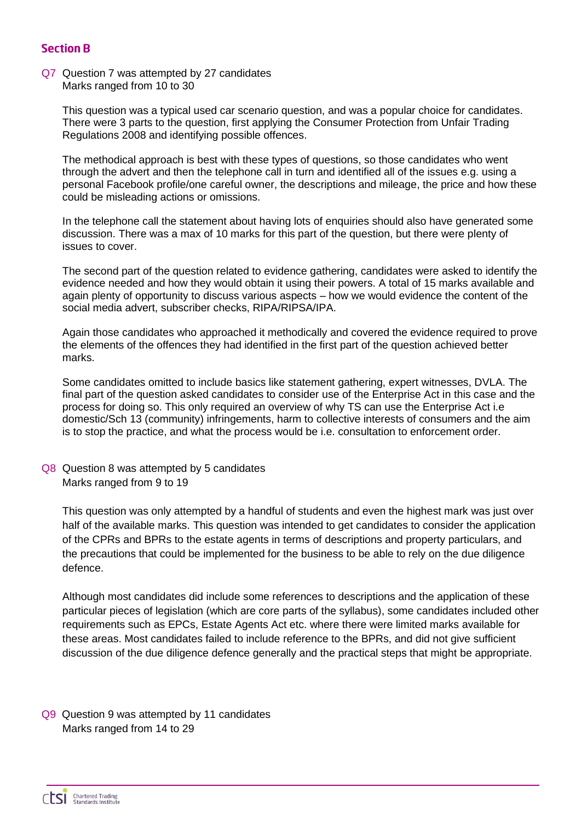## **Section B**

#### Q7 Question 7 was attempted by 27 candidates Marks ranged from 10 to 30

This question was a typical used car scenario question, and was a popular choice for candidates. There were 3 parts to the question, first applying the Consumer Protection from Unfair Trading Regulations 2008 and identifying possible offences.

The methodical approach is best with these types of questions, so those candidates who went through the advert and then the telephone call in turn and identified all of the issues e.g. using a personal Facebook profile/one careful owner, the descriptions and mileage, the price and how these could be misleading actions or omissions.

In the telephone call the statement about having lots of enquiries should also have generated some discussion. There was a max of 10 marks for this part of the question, but there were plenty of issues to cover.

The second part of the question related to evidence gathering, candidates were asked to identify the evidence needed and how they would obtain it using their powers. A total of 15 marks available and again plenty of opportunity to discuss various aspects – how we would evidence the content of the social media advert, subscriber checks, RIPA/RIPSA/IPA.

Again those candidates who approached it methodically and covered the evidence required to prove the elements of the offences they had identified in the first part of the question achieved better marks.

Some candidates omitted to include basics like statement gathering, expert witnesses, DVLA. The final part of the question asked candidates to consider use of the Enterprise Act in this case and the process for doing so. This only required an overview of why TS can use the Enterprise Act i.e domestic/Sch 13 (community) infringements, harm to collective interests of consumers and the aim is to stop the practice, and what the process would be i.e. consultation to enforcement order.

Q8 Question 8 was attempted by 5 candidates Marks ranged from 9 to 19

This question was only attempted by a handful of students and even the highest mark was just over half of the available marks. This question was intended to get candidates to consider the application of the CPRs and BPRs to the estate agents in terms of descriptions and property particulars, and the precautions that could be implemented for the business to be able to rely on the due diligence defence.

Although most candidates did include some references to descriptions and the application of these particular pieces of legislation (which are core parts of the syllabus), some candidates included other requirements such as EPCs, Estate Agents Act etc. where there were limited marks available for these areas. Most candidates failed to include reference to the BPRs, and did not give sufficient discussion of the due diligence defence generally and the practical steps that might be appropriate.

Q9 Question 9 was attempted by 11 candidates Marks ranged from 14 to 29